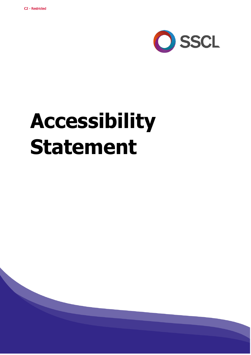

# **Accessibility Statement**